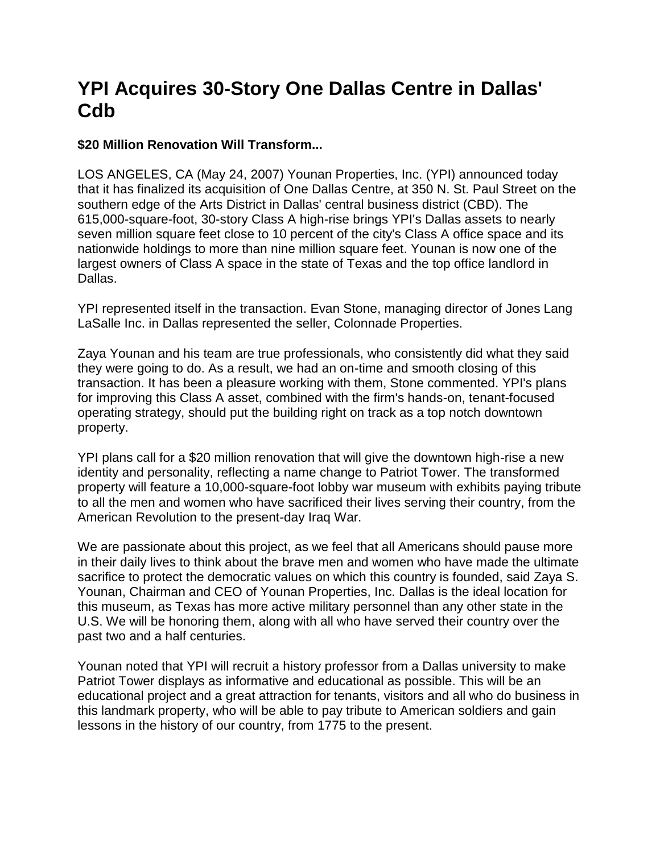## **YPI Acquires 30-Story One Dallas Centre in Dallas' Cdb**

## **\$20 Million Renovation Will Transform...**

LOS ANGELES, CA (May 24, 2007) Younan Properties, Inc. (YPI) announced today that it has finalized its acquisition of One Dallas Centre, at 350 N. St. Paul Street on the southern edge of the Arts District in Dallas' central business district (CBD). The 615,000-square-foot, 30-story Class A high-rise brings YPI's Dallas assets to nearly seven million square feet close to 10 percent of the city's Class A office space and its nationwide holdings to more than nine million square feet. Younan is now one of the largest owners of Class A space in the state of Texas and the top office landlord in Dallas.

YPI represented itself in the transaction. Evan Stone, managing director of Jones Lang LaSalle Inc. in Dallas represented the seller, Colonnade Properties.

Zaya Younan and his team are true professionals, who consistently did what they said they were going to do. As a result, we had an on-time and smooth closing of this transaction. It has been a pleasure working with them, Stone commented. YPI's plans for improving this Class A asset, combined with the firm's hands-on, tenant-focused operating strategy, should put the building right on track as a top notch downtown property.

YPI plans call for a \$20 million renovation that will give the downtown high-rise a new identity and personality, reflecting a name change to Patriot Tower. The transformed property will feature a 10,000-square-foot lobby war museum with exhibits paying tribute to all the men and women who have sacrificed their lives serving their country, from the American Revolution to the present-day Iraq War.

We are passionate about this project, as we feel that all Americans should pause more in their daily lives to think about the brave men and women who have made the ultimate sacrifice to protect the democratic values on which this country is founded, said Zaya S. Younan, Chairman and CEO of Younan Properties, Inc. Dallas is the ideal location for this museum, as Texas has more active military personnel than any other state in the U.S. We will be honoring them, along with all who have served their country over the past two and a half centuries.

Younan noted that YPI will recruit a history professor from a Dallas university to make Patriot Tower displays as informative and educational as possible. This will be an educational project and a great attraction for tenants, visitors and all who do business in this landmark property, who will be able to pay tribute to American soldiers and gain lessons in the history of our country, from 1775 to the present.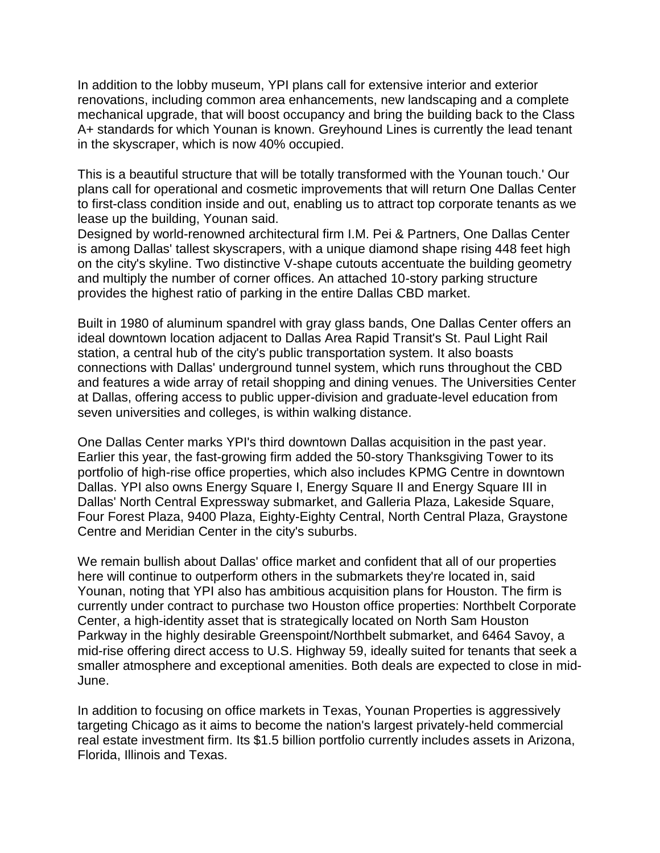In addition to the lobby museum, YPI plans call for extensive interior and exterior renovations, including common area enhancements, new landscaping and a complete mechanical upgrade, that will boost occupancy and bring the building back to the Class A+ standards for which Younan is known. Greyhound Lines is currently the lead tenant in the skyscraper, which is now 40% occupied.

This is a beautiful structure that will be totally transformed with the Younan touch.' Our plans call for operational and cosmetic improvements that will return One Dallas Center to first-class condition inside and out, enabling us to attract top corporate tenants as we lease up the building, Younan said.

Designed by world-renowned architectural firm I.M. Pei & Partners, One Dallas Center is among Dallas' tallest skyscrapers, with a unique diamond shape rising 448 feet high on the city's skyline. Two distinctive V-shape cutouts accentuate the building geometry and multiply the number of corner offices. An attached 10-story parking structure provides the highest ratio of parking in the entire Dallas CBD market.

Built in 1980 of aluminum spandrel with gray glass bands, One Dallas Center offers an ideal downtown location adjacent to Dallas Area Rapid Transit's St. Paul Light Rail station, a central hub of the city's public transportation system. It also boasts connections with Dallas' underground tunnel system, which runs throughout the CBD and features a wide array of retail shopping and dining venues. The Universities Center at Dallas, offering access to public upper-division and graduate-level education from seven universities and colleges, is within walking distance.

One Dallas Center marks YPI's third downtown Dallas acquisition in the past year. Earlier this year, the fast-growing firm added the 50-story Thanksgiving Tower to its portfolio of high-rise office properties, which also includes KPMG Centre in downtown Dallas. YPI also owns Energy Square I, Energy Square II and Energy Square III in Dallas' North Central Expressway submarket, and Galleria Plaza, Lakeside Square, Four Forest Plaza, 9400 Plaza, Eighty-Eighty Central, North Central Plaza, Graystone Centre and Meridian Center in the city's suburbs.

We remain bullish about Dallas' office market and confident that all of our properties here will continue to outperform others in the submarkets they're located in, said Younan, noting that YPI also has ambitious acquisition plans for Houston. The firm is currently under contract to purchase two Houston office properties: Northbelt Corporate Center, a high-identity asset that is strategically located on North Sam Houston Parkway in the highly desirable Greenspoint/Northbelt submarket, and 6464 Savoy, a mid-rise offering direct access to U.S. Highway 59, ideally suited for tenants that seek a smaller atmosphere and exceptional amenities. Both deals are expected to close in mid-June.

In addition to focusing on office markets in Texas, Younan Properties is aggressively targeting Chicago as it aims to become the nation's largest privately-held commercial real estate investment firm. Its \$1.5 billion portfolio currently includes assets in Arizona, Florida, Illinois and Texas.